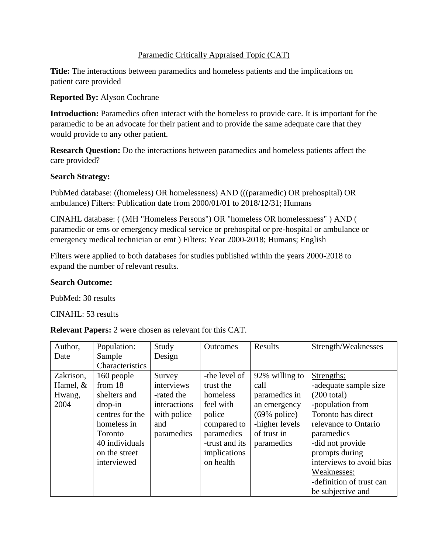# Paramedic Critically Appraised Topic (CAT)

**Title:** The interactions between paramedics and homeless patients and the implications on patient care provided

**Reported By:** Alyson Cochrane

**Introduction:** Paramedics often interact with the homeless to provide care. It is important for the paramedic to be an advocate for their patient and to provide the same adequate care that they would provide to any other patient.

**Research Question:** Do the interactions between paramedics and homeless patients affect the care provided?

# **Search Strategy:**

PubMed database: ((homeless) OR homelessness) AND (((paramedic) OR prehospital) OR ambulance) Filters: Publication date from 2000/01/01 to 2018/12/31; Humans

CINAHL database: ( (MH "Homeless Persons") OR "homeless OR homelessness" ) AND ( paramedic or ems or emergency medical service or prehospital or pre-hospital or ambulance or emergency medical technician or emt ) Filters: Year 2000-2018; Humans; English

Filters were applied to both databases for studies published within the years 2000-2018 to expand the number of relevant results.

# **Search Outcome:**

PubMed: 30 results

CINAHL: 53 results

**Relevant Papers:** 2 were chosen as relevant for this CAT.

| Author,    | Population:     | Study        | <b>Outcomes</b> | Results                 | Strength/Weaknesses      |
|------------|-----------------|--------------|-----------------|-------------------------|--------------------------|
| Date       | Sample          | Design       |                 |                         |                          |
|            | Characteristics |              |                 |                         |                          |
| Zakrison,  | 160 people      | Survey       | -the level of   | 92% willing to          | Strengths:               |
| Hamel, $&$ | from 18         | interviews   | trust the       | call                    | -adequate sample size    |
| Hwang,     | shelters and    | -rated the   | homeless        | paramedics in           | $(200 \text{ total})$    |
| 2004       | drop-in         | interactions | feel with       | an emergency            | -population from         |
|            | centres for the | with police  | police          | $(69\% \text{ police})$ | Toronto has direct       |
|            | homeless in     | and          | compared to     | -higher levels          | relevance to Ontario     |
|            | <b>Toronto</b>  | paramedics   | paramedics      | of trust in             | paramedics               |
|            | 40 individuals  |              | -trust and its  | paramedics              | -did not provide         |
|            | on the street   |              | implications    |                         | prompts during           |
|            | interviewed     |              | on health       |                         | interviews to avoid bias |
|            |                 |              |                 |                         | Weaknesses:              |
|            |                 |              |                 |                         | -definition of trust can |
|            |                 |              |                 |                         | be subjective and        |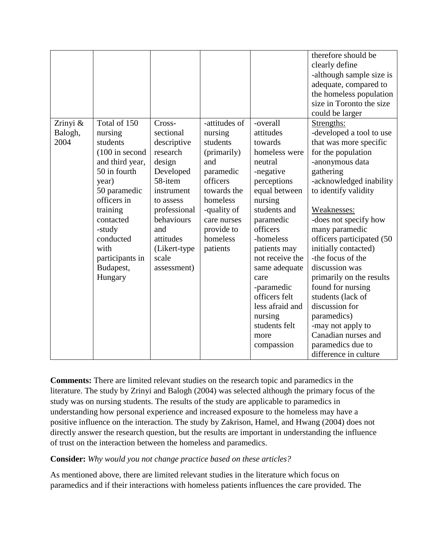|                     |                         |                     |                          |                          | therefore should be<br>clearly define<br>-although sample size is<br>adequate, compared to<br>the homeless population<br>size in Toronto the size<br>could be larger |
|---------------------|-------------------------|---------------------|--------------------------|--------------------------|----------------------------------------------------------------------------------------------------------------------------------------------------------------------|
| Zrinyi &<br>Balogh, | Total of 150<br>nursing | Cross-<br>sectional | -attitudes of<br>nursing | -overall<br>attitudes    | Strengths:<br>-developed a tool to use                                                                                                                               |
| 2004                | students                | descriptive         | students                 | towards                  | that was more specific                                                                                                                                               |
|                     | $(100$ in second        | research            | (primarily)              | homeless were            | for the population                                                                                                                                                   |
|                     | and third year,         | design              | and                      | neutral                  | -anonymous data                                                                                                                                                      |
|                     | 50 in fourth            | Developed           | paramedic                | -negative                | gathering                                                                                                                                                            |
|                     | year)                   | 58-item             | officers                 | perceptions              | -acknowledged inability                                                                                                                                              |
|                     | 50 paramedic            | instrument          | towards the              | equal between            | to identify validity                                                                                                                                                 |
|                     | officers in             | to assess           | homeless                 | nursing                  |                                                                                                                                                                      |
|                     | training                | professional        | -quality of              | students and             | Weaknesses:                                                                                                                                                          |
|                     | contacted               | behaviours          | care nurses              | paramedic                | -does not specify how                                                                                                                                                |
|                     | -study                  | and                 | provide to               | officers                 | many paramedic                                                                                                                                                       |
|                     | conducted               | attitudes           | homeless                 | -homeless                | officers participated (50                                                                                                                                            |
|                     | with                    | (Likert-type        | patients                 | patients may             | initially contacted)                                                                                                                                                 |
|                     | participants in         | scale               |                          | not receive the          | -the focus of the                                                                                                                                                    |
|                     | Budapest,               | assessment)         |                          | same adequate            | discussion was                                                                                                                                                       |
|                     | Hungary                 |                     |                          | care                     | primarily on the results                                                                                                                                             |
|                     |                         |                     |                          | -paramedic               | found for nursing                                                                                                                                                    |
|                     |                         |                     |                          | officers felt            | students (lack of                                                                                                                                                    |
|                     |                         |                     |                          | less afraid and          | discussion for                                                                                                                                                       |
|                     |                         |                     |                          | nursing<br>students felt | paramedics)                                                                                                                                                          |
|                     |                         |                     |                          |                          | -may not apply to<br>Canadian nurses and                                                                                                                             |
|                     |                         |                     |                          | more                     |                                                                                                                                                                      |
|                     |                         |                     |                          | compassion               | paramedics due to<br>difference in culture                                                                                                                           |
|                     |                         |                     |                          |                          |                                                                                                                                                                      |

**Comments:** There are limited relevant studies on the research topic and paramedics in the literature. The study by Zrinyi and Balogh (2004) was selected although the primary focus of the study was on nursing students. The results of the study are applicable to paramedics in understanding how personal experience and increased exposure to the homeless may have a positive influence on the interaction. The study by Zakrison, Hamel, and Hwang (2004) does not directly answer the research question, but the results are important in understanding the influence of trust on the interaction between the homeless and paramedics.

# **Consider:** *Why would you not change practice based on these articles?*

As mentioned above, there are limited relevant studies in the literature which focus on paramedics and if their interactions with homeless patients influences the care provided. The